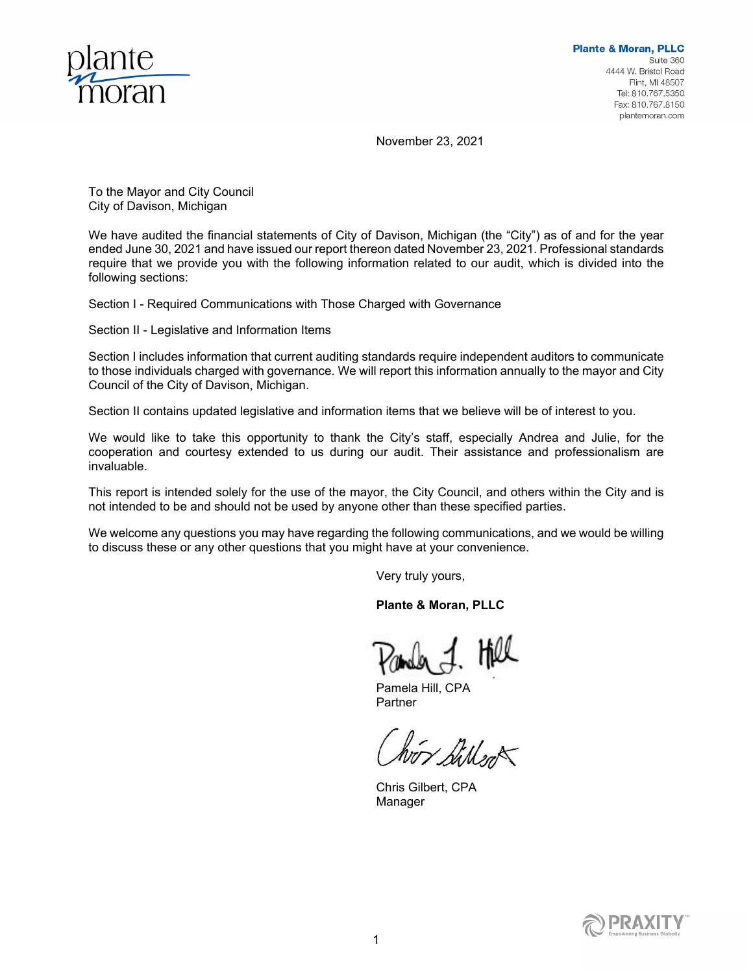

November 23, 2021

To the Mayor and City Council City of Davison, Michigan

We have audited the financial statements of City of Davison, Michigan (the "City") as of and for the year ended June 30, 2021 and have issued our report thereon dated November 23, 2021. Professional standards require that we provide you with the following information related to our audit, which is divided into the following sections:

Section I - Required Communications with Those Charged with Governance

Section II - Legislative and Information Items

Section I includes information that current auditing standards require independent auditors to communicate to those individuals charged with governance. We will report this information annually to the mayor and City Council of the City of Davison, Michigan.

Section II contains updated legislative and information items that we believe will be of interest to you.

We would like to take this opportunity to thank the City's staff, especially Andrea and Julie, for the cooperation and courtesy extended to us during our audit. Their assistance and professionalism are invaluable.

This report is intended solely for the use of the mayor, the City Council, and others within the City and is not intended to be and should not be used by anyone other than these specified parties.

We welcome any questions you may have regarding the following communications, and we would be willing to discuss these or any other questions that you might have at your convenience.

Very truly yours,

**Plante & Moran, PLLC** 

Pamela Hill, CPA Partner

or Siller

Chris Gilbert, CPA Manager

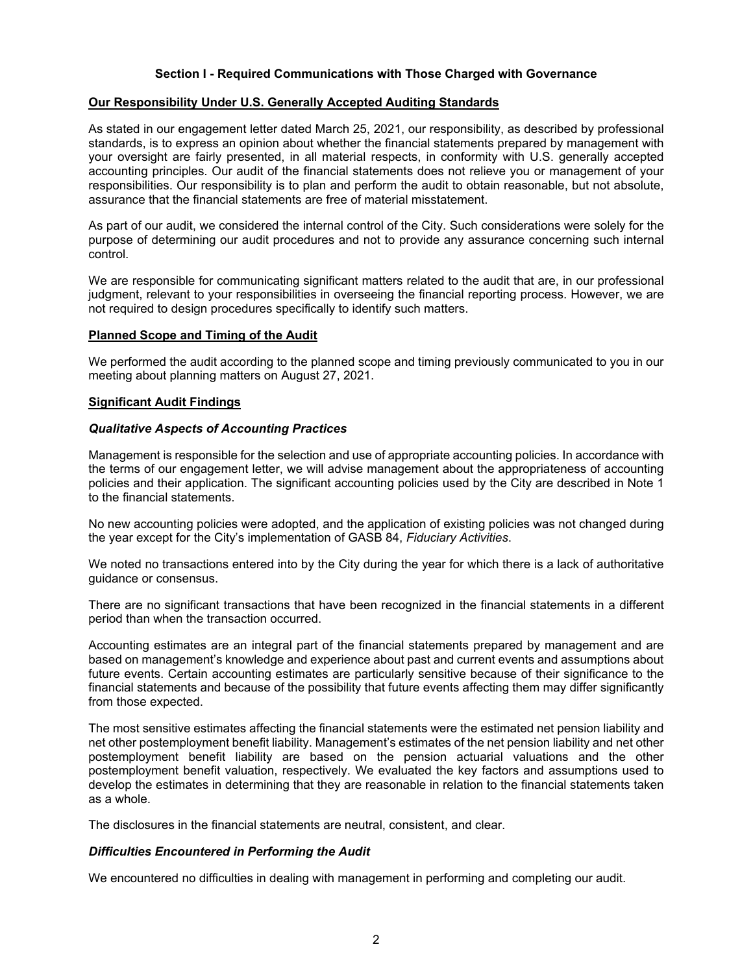# **Section I - Required Communications with Those Charged with Governance**

#### **Our Responsibility Under U.S. Generally Accepted Auditing Standards**

As stated in our engagement letter dated March 25, 2021, our responsibility, as described by professional standards, is to express an opinion about whether the financial statements prepared by management with your oversight are fairly presented, in all material respects, in conformity with U.S. generally accepted accounting principles. Our audit of the financial statements does not relieve you or management of your responsibilities. Our responsibility is to plan and perform the audit to obtain reasonable, but not absolute, assurance that the financial statements are free of material misstatement.

As part of our audit, we considered the internal control of the City. Such considerations were solely for the purpose of determining our audit procedures and not to provide any assurance concerning such internal control.

We are responsible for communicating significant matters related to the audit that are, in our professional judgment, relevant to your responsibilities in overseeing the financial reporting process. However, we are not required to design procedures specifically to identify such matters.

#### **Planned Scope and Timing of the Audit**

We performed the audit according to the planned scope and timing previously communicated to you in our meeting about planning matters on August 27, 2021.

#### **Significant Audit Findings**

#### *Qualitative Aspects of Accounting Practices*

Management is responsible for the selection and use of appropriate accounting policies. In accordance with the terms of our engagement letter, we will advise management about the appropriateness of accounting policies and their application. The significant accounting policies used by the City are described in Note 1 to the financial statements.

No new accounting policies were adopted, and the application of existing policies was not changed during the year except for the City's implementation of GASB 84, *Fiduciary Activities*.

We noted no transactions entered into by the City during the year for which there is a lack of authoritative guidance or consensus.

There are no significant transactions that have been recognized in the financial statements in a different period than when the transaction occurred.

Accounting estimates are an integral part of the financial statements prepared by management and are based on management's knowledge and experience about past and current events and assumptions about future events. Certain accounting estimates are particularly sensitive because of their significance to the financial statements and because of the possibility that future events affecting them may differ significantly from those expected.

The most sensitive estimates affecting the financial statements were the estimated net pension liability and net other postemployment benefit liability. Management's estimates of the net pension liability and net other postemployment benefit liability are based on the pension actuarial valuations and the other postemployment benefit valuation, respectively. We evaluated the key factors and assumptions used to develop the estimates in determining that they are reasonable in relation to the financial statements taken as a whole.

The disclosures in the financial statements are neutral, consistent, and clear.

### *Difficulties Encountered in Performing the Audit*

We encountered no difficulties in dealing with management in performing and completing our audit.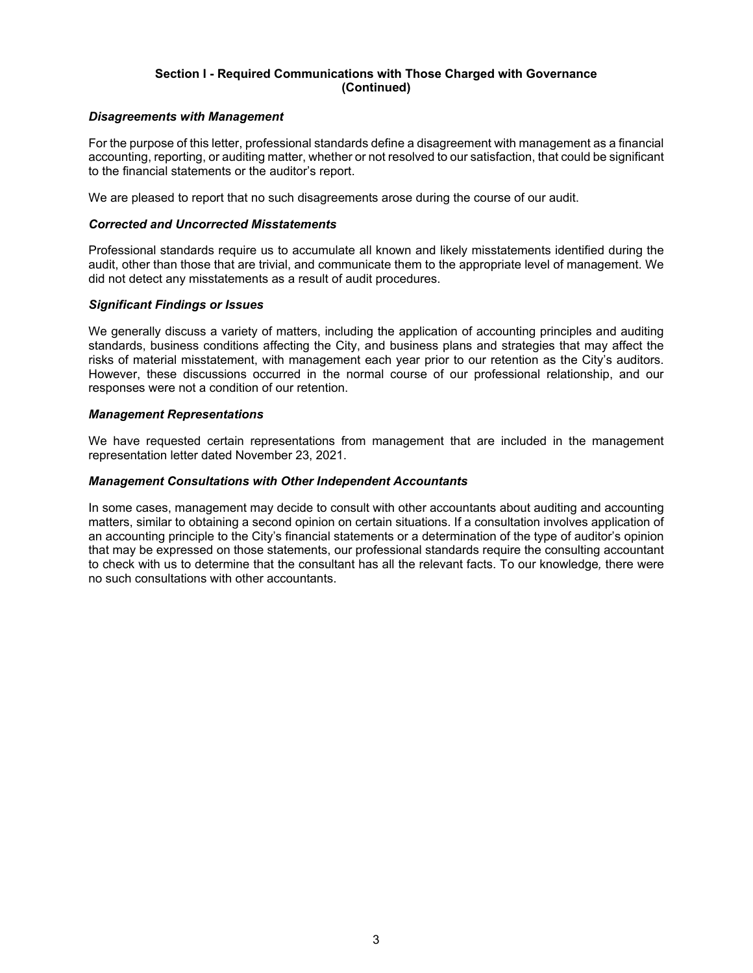# **Section I - Required Communications with Those Charged with Governance (Continued)**

### *Disagreements with Management*

For the purpose of this letter, professional standards define a disagreement with management as a financial accounting, reporting, or auditing matter, whether or not resolved to our satisfaction, that could be significant to the financial statements or the auditor's report.

We are pleased to report that no such disagreements arose during the course of our audit.

### *Corrected and Uncorrected Misstatements*

Professional standards require us to accumulate all known and likely misstatements identified during the audit, other than those that are trivial, and communicate them to the appropriate level of management. We did not detect any misstatements as a result of audit procedures.

# *Significant Findings or Issues*

We generally discuss a variety of matters, including the application of accounting principles and auditing standards, business conditions affecting the City, and business plans and strategies that may affect the risks of material misstatement, with management each year prior to our retention as the City's auditors. However, these discussions occurred in the normal course of our professional relationship, and our responses were not a condition of our retention.

# *Management Representations*

We have requested certain representations from management that are included in the management representation letter dated November 23, 2021.

### *Management Consultations with Other Independent Accountants*

In some cases, management may decide to consult with other accountants about auditing and accounting matters, similar to obtaining a second opinion on certain situations. If a consultation involves application of an accounting principle to the City's financial statements or a determination of the type of auditor's opinion that may be expressed on those statements, our professional standards require the consulting accountant to check with us to determine that the consultant has all the relevant facts. To our knowledge*,* there were no such consultations with other accountants.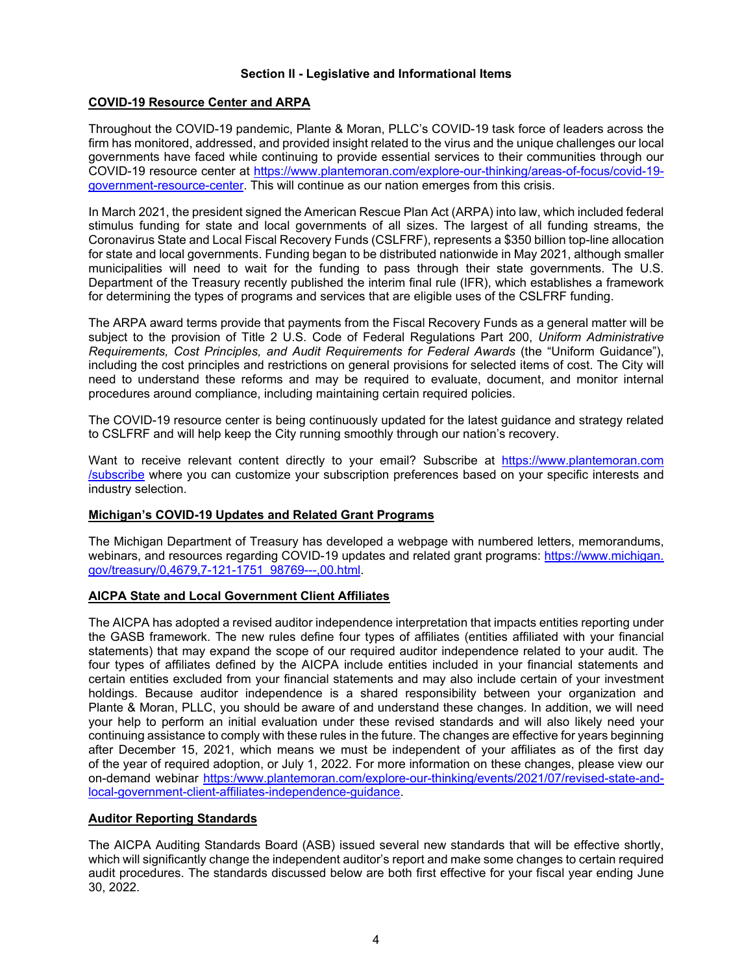# **Section II - Legislative and Informational Items**

# **COVID-19 Resource Center and ARPA**

Throughout the COVID-19 pandemic, Plante & Moran, PLLC's COVID-19 task force of leaders across the firm has monitored, addressed, and provided insight related to the virus and the unique challenges our local governments have faced while continuing to provide essential services to their communities through our COVID-19 resource center at https://www.plantemoran.com/explore-our-thinking/areas-of-focus/covid-19 government-resource-center. This will continue as our nation emerges from this crisis.

In March 2021, the president signed the American Rescue Plan Act (ARPA) into law, which included federal stimulus funding for state and local governments of all sizes. The largest of all funding streams, the Coronavirus State and Local Fiscal Recovery Funds (CSLFRF), represents a \$350 billion top-line allocation for state and local governments. Funding began to be distributed nationwide in May 2021, although smaller municipalities will need to wait for the funding to pass through their state governments. The U.S. Department of the Treasury recently published the interim final rule (IFR), which establishes a framework for determining the types of programs and services that are eligible uses of the CSLFRF funding.

The ARPA award terms provide that payments from the Fiscal Recovery Funds as a general matter will be subject to the provision of Title 2 U.S. Code of Federal Regulations Part 200, *Uniform Administrative Requirements, Cost Principles, and Audit Requirements for Federal Awards* (the "Uniform Guidance"), including the cost principles and restrictions on general provisions for selected items of cost. The City will need to understand these reforms and may be required to evaluate, document, and monitor internal procedures around compliance, including maintaining certain required policies.

The COVID-19 resource center is being continuously updated for the latest guidance and strategy related to CSLFRF and will help keep the City running smoothly through our nation's recovery.

Want to receive relevant content directly to your email? Subscribe at https://www.plantemoran.com /subscribe where you can customize your subscription preferences based on your specific interests and industry selection.

### **Michigan's COVID-19 Updates and Related Grant Programs**

The Michigan Department of Treasury has developed a webpage with numbered letters, memorandums, webinars, and resources regarding COVID-19 updates and related grant programs: https://www.michigan. gov/treasury/0,4679,7-121-1751\_98769---,00.html.

### **AICPA State and Local Government Client Affiliates**

The AICPA has adopted a revised auditor independence interpretation that impacts entities reporting under the GASB framework. The new rules define four types of affiliates (entities affiliated with your financial statements) that may expand the scope of our required auditor independence related to your audit. The four types of affiliates defined by the AICPA include entities included in your financial statements and certain entities excluded from your financial statements and may also include certain of your investment holdings. Because auditor independence is a shared responsibility between your organization and Plante & Moran, PLLC, you should be aware of and understand these changes. In addition, we will need your help to perform an initial evaluation under these revised standards and will also likely need your continuing assistance to comply with these rules in the future. The changes are effective for years beginning after December 15, 2021, which means we must be independent of your affiliates as of the first day of the year of required adoption, or July 1, 2022. For more information on these changes, please view our on-demand webinar https:/www.plantemoran.com/explore-our-thinking/events/2021/07/revised-state-andlocal-government-client-affiliates-independence-guidance.

# **Auditor Reporting Standards**

The AICPA Auditing Standards Board (ASB) issued several new standards that will be effective shortly, which will significantly change the independent auditor's report and make some changes to certain required audit procedures. The standards discussed below are both first effective for your fiscal year ending June 30, 2022.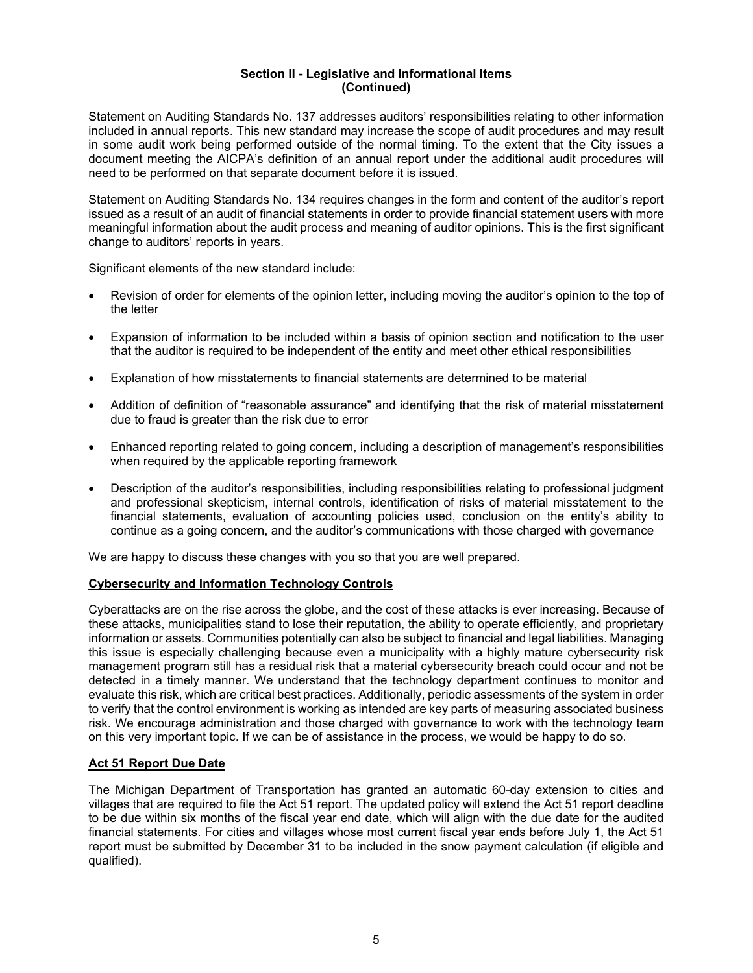Statement on Auditing Standards No. 137 addresses auditors' responsibilities relating to other information included in annual reports. This new standard may increase the scope of audit procedures and may result in some audit work being performed outside of the normal timing. To the extent that the City issues a document meeting the AICPA's definition of an annual report under the additional audit procedures will need to be performed on that separate document before it is issued.

Statement on Auditing Standards No. 134 requires changes in the form and content of the auditor's report issued as a result of an audit of financial statements in order to provide financial statement users with more meaningful information about the audit process and meaning of auditor opinions. This is the first significant change to auditors' reports in years.

Significant elements of the new standard include:

- Revision of order for elements of the opinion letter, including moving the auditor's opinion to the top of the letter
- Expansion of information to be included within a basis of opinion section and notification to the user that the auditor is required to be independent of the entity and meet other ethical responsibilities
- Explanation of how misstatements to financial statements are determined to be material
- Addition of definition of "reasonable assurance" and identifying that the risk of material misstatement due to fraud is greater than the risk due to error
- Enhanced reporting related to going concern, including a description of management's responsibilities when required by the applicable reporting framework
- Description of the auditor's responsibilities, including responsibilities relating to professional judgment and professional skepticism, internal controls, identification of risks of material misstatement to the financial statements, evaluation of accounting policies used, conclusion on the entity's ability to continue as a going concern, and the auditor's communications with those charged with governance

We are happy to discuss these changes with you so that you are well prepared.

### **Cybersecurity and Information Technology Controls**

Cyberattacks are on the rise across the globe, and the cost of these attacks is ever increasing. Because of these attacks, municipalities stand to lose their reputation, the ability to operate efficiently, and proprietary information or assets. Communities potentially can also be subject to financial and legal liabilities. Managing this issue is especially challenging because even a municipality with a highly mature cybersecurity risk management program still has a residual risk that a material cybersecurity breach could occur and not be detected in a timely manner. We understand that the technology department continues to monitor and evaluate this risk, which are critical best practices. Additionally, periodic assessments of the system in order to verify that the control environment is working as intended are key parts of measuring associated business risk. We encourage administration and those charged with governance to work with the technology team on this very important topic. If we can be of assistance in the process, we would be happy to do so.

### **Act 51 Report Due Date**

The Michigan Department of Transportation has granted an automatic 60-day extension to cities and villages that are required to file the Act 51 report. The updated policy will extend the Act 51 report deadline to be due within six months of the fiscal year end date, which will align with the due date for the audited financial statements. For cities and villages whose most current fiscal year ends before July 1, the Act 51 report must be submitted by December 31 to be included in the snow payment calculation (if eligible and qualified).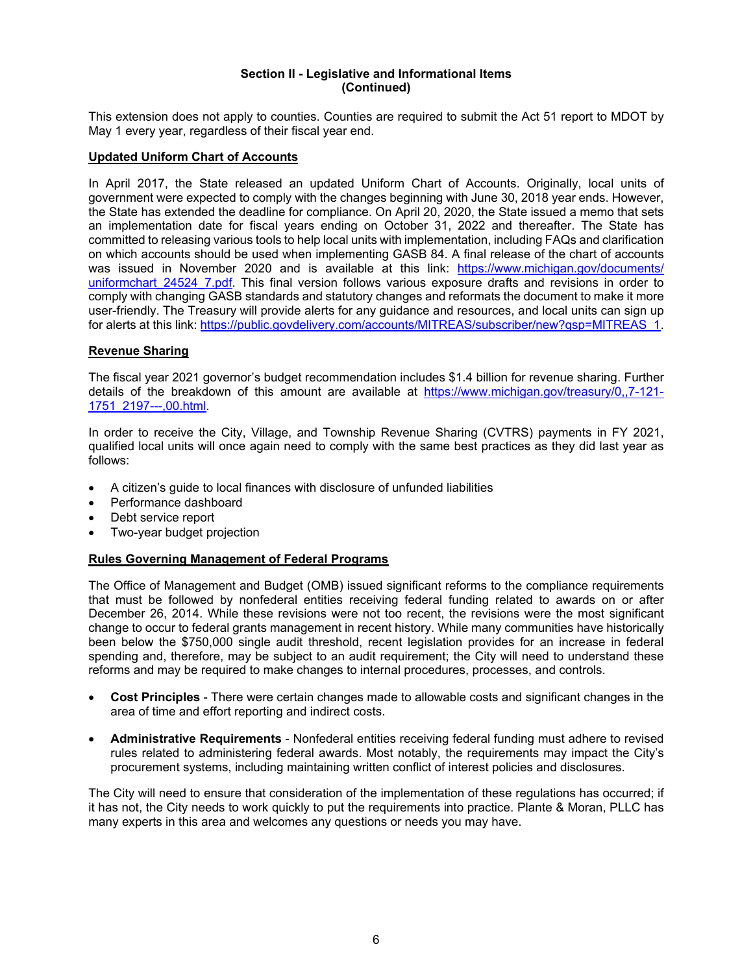This extension does not apply to counties. Counties are required to submit the Act 51 report to MDOT by May 1 every year, regardless of their fiscal year end.

# **Updated Uniform Chart of Accounts**

In April 2017, the State released an updated Uniform Chart of Accounts. Originally, local units of government were expected to comply with the changes beginning with June 30, 2018 year ends. However, the State has extended the deadline for compliance. On April 20, 2020, the State issued a memo that sets an implementation date for fiscal years ending on October 31, 2022 and thereafter. The State has committed to releasing various tools to help local units with implementation, including FAQs and clarification on which accounts should be used when implementing GASB 84. A final release of the chart of accounts was issued in November 2020 and is available at this link: https://www.michigan.gov/documents/ uniformchart 24524 7.pdf. This final version follows various exposure drafts and revisions in order to comply with changing GASB standards and statutory changes and reformats the document to make it more user-friendly. The Treasury will provide alerts for any guidance and resources, and local units can sign up for alerts at this link: https://public.govdelivery.com/accounts/MITREAS/subscriber/new?qsp=MITREAS\_1.

# **Revenue Sharing**

The fiscal year 2021 governor's budget recommendation includes \$1.4 billion for revenue sharing. Further details of the breakdown of this amount are available at https://www.michigan.gov/treasury/0,,7-121- 1751\_2197---,00.html.

In order to receive the City, Village, and Township Revenue Sharing (CVTRS) payments in FY 2021, qualified local units will once again need to comply with the same best practices as they did last year as follows:

- A citizen's guide to local finances with disclosure of unfunded liabilities
- Performance dashboard
- Debt service report
- Two-year budget projection

# **Rules Governing Management of Federal Programs**

The Office of Management and Budget (OMB) issued significant reforms to the compliance requirements that must be followed by nonfederal entities receiving federal funding related to awards on or after December 26, 2014. While these revisions were not too recent, the revisions were the most significant change to occur to federal grants management in recent history. While many communities have historically been below the \$750,000 single audit threshold, recent legislation provides for an increase in federal spending and, therefore, may be subject to an audit requirement; the City will need to understand these reforms and may be required to make changes to internal procedures, processes, and controls.

- **Cost Principles** There were certain changes made to allowable costs and significant changes in the area of time and effort reporting and indirect costs.
- **Administrative Requirements** Nonfederal entities receiving federal funding must adhere to revised rules related to administering federal awards. Most notably, the requirements may impact the City's procurement systems, including maintaining written conflict of interest policies and disclosures.

The City will need to ensure that consideration of the implementation of these regulations has occurred; if it has not, the City needs to work quickly to put the requirements into practice. Plante & Moran, PLLC has many experts in this area and welcomes any questions or needs you may have.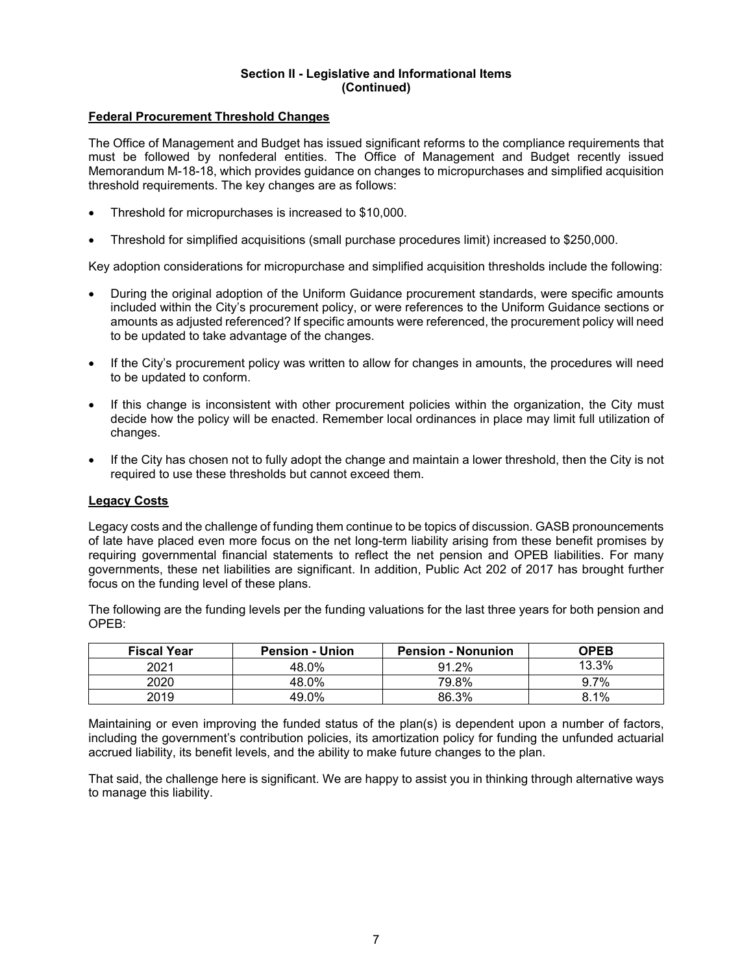### **Federal Procurement Threshold Changes**

The Office of Management and Budget has issued significant reforms to the compliance requirements that must be followed by nonfederal entities. The Office of Management and Budget recently issued Memorandum M-18-18, which provides guidance on changes to micropurchases and simplified acquisition threshold requirements. The key changes are as follows:

- Threshold for micropurchases is increased to \$10,000.
- Threshold for simplified acquisitions (small purchase procedures limit) increased to \$250,000.

Key adoption considerations for micropurchase and simplified acquisition thresholds include the following:

- During the original adoption of the Uniform Guidance procurement standards, were specific amounts included within the City's procurement policy, or were references to the Uniform Guidance sections or amounts as adjusted referenced? If specific amounts were referenced, the procurement policy will need to be updated to take advantage of the changes.
- If the City's procurement policy was written to allow for changes in amounts, the procedures will need to be updated to conform.
- If this change is inconsistent with other procurement policies within the organization, the City must decide how the policy will be enacted. Remember local ordinances in place may limit full utilization of changes.
- If the City has chosen not to fully adopt the change and maintain a lower threshold, then the City is not required to use these thresholds but cannot exceed them.

### **Legacy Costs**

Legacy costs and the challenge of funding them continue to be topics of discussion. GASB pronouncements of late have placed even more focus on the net long-term liability arising from these benefit promises by requiring governmental financial statements to reflect the net pension and OPEB liabilities. For many governments, these net liabilities are significant. In addition, Public Act 202 of 2017 has brought further focus on the funding level of these plans.

The following are the funding levels per the funding valuations for the last three years for both pension and OPEB:

| <b>Fiscal Year</b> | <b>Pension - Union</b> | <b>Pension - Nonunion</b> | <b>OPEB</b> |
|--------------------|------------------------|---------------------------|-------------|
| 2021               | 48.0%                  | 91.2%                     | 13.3%       |
| 2020               | 48.0%                  | 79.8%                     | 9.7%        |
| 2019               | 49.0%                  | 86.3%                     | 8.1%        |

Maintaining or even improving the funded status of the plan(s) is dependent upon a number of factors, including the government's contribution policies, its amortization policy for funding the unfunded actuarial accrued liability, its benefit levels, and the ability to make future changes to the plan.

That said, the challenge here is significant. We are happy to assist you in thinking through alternative ways to manage this liability.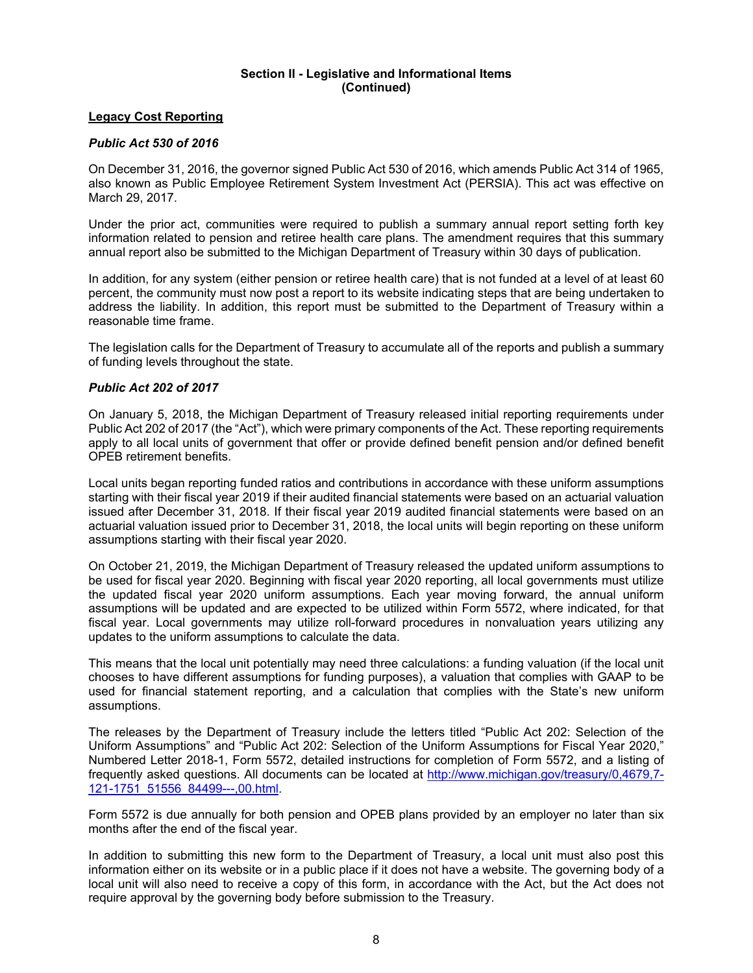### **Legacy Cost Reporting**

# *Public Act 530 of 2016*

On December 31, 2016, the governor signed Public Act 530 of 2016, which amends Public Act 314 of 1965, also known as Public Employee Retirement System Investment Act (PERSIA). This act was effective on March 29, 2017.

Under the prior act, communities were required to publish a summary annual report setting forth key information related to pension and retiree health care plans. The amendment requires that this summary annual report also be submitted to the Michigan Department of Treasury within 30 days of publication.

In addition, for any system (either pension or retiree health care) that is not funded at a level of at least 60 percent, the community must now post a report to its website indicating steps that are being undertaken to address the liability. In addition, this report must be submitted to the Department of Treasury within a reasonable time frame.

The legislation calls for the Department of Treasury to accumulate all of the reports and publish a summary of funding levels throughout the state.

# *Public Act 202 of 2017*

On January 5, 2018, the Michigan Department of Treasury released initial reporting requirements under Public Act 202 of 2017 (the "Act"), which were primary components of the Act. These reporting requirements apply to all local units of government that offer or provide defined benefit pension and/or defined benefit OPEB retirement benefits.

Local units began reporting funded ratios and contributions in accordance with these uniform assumptions starting with their fiscal year 2019 if their audited financial statements were based on an actuarial valuation issued after December 31, 2018. If their fiscal year 2019 audited financial statements were based on an actuarial valuation issued prior to December 31, 2018, the local units will begin reporting on these uniform assumptions starting with their fiscal year 2020.

On October 21, 2019, the Michigan Department of Treasury released the updated uniform assumptions to be used for fiscal year 2020. Beginning with fiscal year 2020 reporting, all local governments must utilize the updated fiscal year 2020 uniform assumptions. Each year moving forward, the annual uniform assumptions will be updated and are expected to be utilized within Form 5572, where indicated, for that fiscal year. Local governments may utilize roll-forward procedures in nonvaluation years utilizing any updates to the uniform assumptions to calculate the data.

This means that the local unit potentially may need three calculations: a funding valuation (if the local unit chooses to have different assumptions for funding purposes), a valuation that complies with GAAP to be used for financial statement reporting, and a calculation that complies with the State's new uniform assumptions.

The releases by the Department of Treasury include the letters titled "Public Act 202: Selection of the Uniform Assumptions" and "Public Act 202: Selection of the Uniform Assumptions for Fiscal Year 2020," Numbered Letter 2018-1, Form 5572, detailed instructions for completion of Form 5572, and a listing of frequently asked questions. All documents can be located at http://www.michigan.gov/treasury/0,4679,7- 121-1751\_51556\_84499---,00.html.

Form 5572 is due annually for both pension and OPEB plans provided by an employer no later than six months after the end of the fiscal year.

In addition to submitting this new form to the Department of Treasury, a local unit must also post this information either on its website or in a public place if it does not have a website. The governing body of a local unit will also need to receive a copy of this form, in accordance with the Act, but the Act does not require approval by the governing body before submission to the Treasury.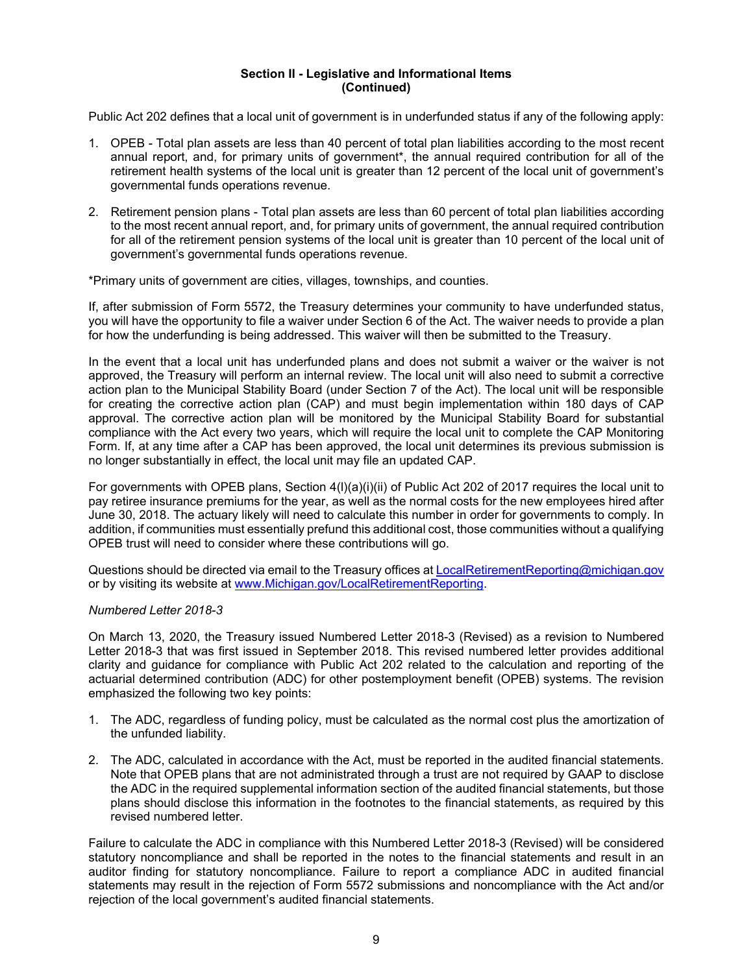Public Act 202 defines that a local unit of government is in underfunded status if any of the following apply:

- 1. OPEB Total plan assets are less than 40 percent of total plan liabilities according to the most recent annual report, and, for primary units of government\*, the annual required contribution for all of the retirement health systems of the local unit is greater than 12 percent of the local unit of government's governmental funds operations revenue.
- 2. Retirement pension plans Total plan assets are less than 60 percent of total plan liabilities according to the most recent annual report, and, for primary units of government, the annual required contribution for all of the retirement pension systems of the local unit is greater than 10 percent of the local unit of government's governmental funds operations revenue.

\*Primary units of government are cities, villages, townships, and counties.

If, after submission of Form 5572, the Treasury determines your community to have underfunded status, you will have the opportunity to file a waiver under Section 6 of the Act. The waiver needs to provide a plan for how the underfunding is being addressed. This waiver will then be submitted to the Treasury.

In the event that a local unit has underfunded plans and does not submit a waiver or the waiver is not approved, the Treasury will perform an internal review. The local unit will also need to submit a corrective action plan to the Municipal Stability Board (under Section 7 of the Act). The local unit will be responsible for creating the corrective action plan (CAP) and must begin implementation within 180 days of CAP approval. The corrective action plan will be monitored by the Municipal Stability Board for substantial compliance with the Act every two years, which will require the local unit to complete the CAP Monitoring Form. If, at any time after a CAP has been approved, the local unit determines its previous submission is no longer substantially in effect, the local unit may file an updated CAP.

For governments with OPEB plans, Section 4(l)(a)(i)(ii) of Public Act 202 of 2017 requires the local unit to pay retiree insurance premiums for the year, as well as the normal costs for the new employees hired after June 30, 2018. The actuary likely will need to calculate this number in order for governments to comply. In addition, if communities must essentially prefund this additional cost, those communities without a qualifying OPEB trust will need to consider where these contributions will go.

Questions should be directed via email to the Treasury offices at LocalRetirementReporting@michigan.gov or by visiting its website at www.Michigan.gov/LocalRetirementReporting.

### *Numbered Letter 2018-3*

On March 13, 2020, the Treasury issued Numbered Letter 2018-3 (Revised) as a revision to Numbered Letter 2018-3 that was first issued in September 2018. This revised numbered letter provides additional clarity and guidance for compliance with Public Act 202 related to the calculation and reporting of the actuarial determined contribution (ADC) for other postemployment benefit (OPEB) systems. The revision emphasized the following two key points:

- 1. The ADC, regardless of funding policy, must be calculated as the normal cost plus the amortization of the unfunded liability.
- 2. The ADC, calculated in accordance with the Act, must be reported in the audited financial statements. Note that OPEB plans that are not administrated through a trust are not required by GAAP to disclose the ADC in the required supplemental information section of the audited financial statements, but those plans should disclose this information in the footnotes to the financial statements, as required by this revised numbered letter.

Failure to calculate the ADC in compliance with this Numbered Letter 2018-3 (Revised) will be considered statutory noncompliance and shall be reported in the notes to the financial statements and result in an auditor finding for statutory noncompliance. Failure to report a compliance ADC in audited financial statements may result in the rejection of Form 5572 submissions and noncompliance with the Act and/or rejection of the local government's audited financial statements.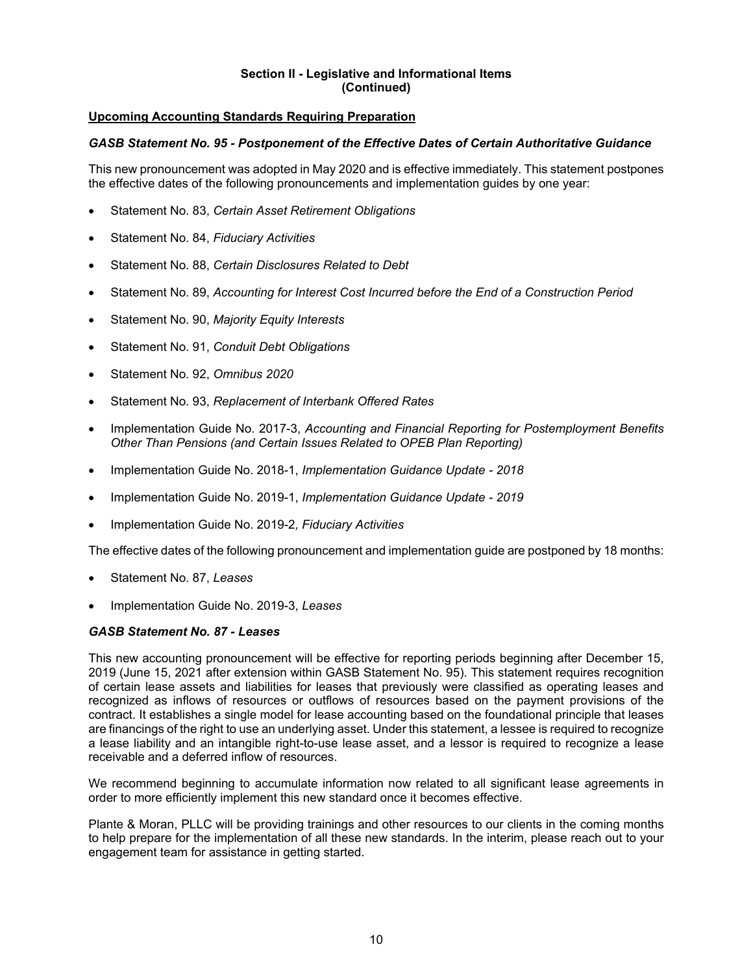# **Upcoming Accounting Standards Requiring Preparation**

### *GASB Statement No. 95 - Postponement of the Effective Dates of Certain Authoritative Guidance*

This new pronouncement was adopted in May 2020 and is effective immediately. This statement postpones the effective dates of the following pronouncements and implementation guides by one year:

- Statement No. 83, *Certain Asset Retirement Obligations*
- Statement No. 84, *Fiduciary Activities*
- Statement No. 88, *Certain Disclosures Related to Debt*
- Statement No. 89, *Accounting for Interest Cost Incurred before the End of a Construction Period*
- Statement No. 90, *Majority Equity Interests*
- Statement No. 91, *Conduit Debt Obligations*
- Statement No. 92, *Omnibus 2020*
- Statement No. 93, *Replacement of Interbank Offered Rates*
- Implementation Guide No. 2017-3, *Accounting and Financial Reporting for Postemployment Benefits Other Than Pensions (and Certain Issues Related to OPEB Plan Reporting)*
- Implementation Guide No. 2018-1, *Implementation Guidance Update 2018*
- Implementation Guide No. 2019-1, *Implementation Guidance Update 2019*
- Implementation Guide No. 2019-2*, Fiduciary Activities*

The effective dates of the following pronouncement and implementation guide are postponed by 18 months:

- Statement No. 87, *Leases*
- Implementation Guide No. 2019-3, *Leases*

### *GASB Statement No. 87 - Leases*

This new accounting pronouncement will be effective for reporting periods beginning after December 15, 2019 (June 15, 2021 after extension within GASB Statement No. 95). This statement requires recognition of certain lease assets and liabilities for leases that previously were classified as operating leases and recognized as inflows of resources or outflows of resources based on the payment provisions of the contract. It establishes a single model for lease accounting based on the foundational principle that leases are financings of the right to use an underlying asset. Under this statement, a lessee is required to recognize a lease liability and an intangible right-to-use lease asset, and a lessor is required to recognize a lease receivable and a deferred inflow of resources.

We recommend beginning to accumulate information now related to all significant lease agreements in order to more efficiently implement this new standard once it becomes effective.

Plante & Moran, PLLC will be providing trainings and other resources to our clients in the coming months to help prepare for the implementation of all these new standards. In the interim, please reach out to your engagement team for assistance in getting started.